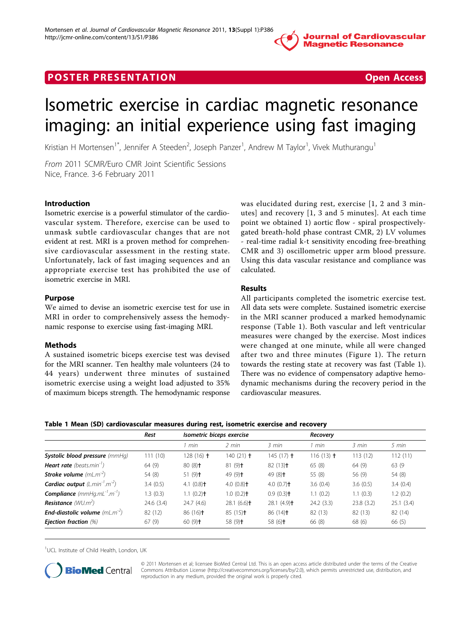**Journal of Cardiovascular Magnetic Resonance** 

## **POSTER PRESENTATION CONSUMING THE SECOND CONSUMING THE SECOND CONSUMING THE SECOND CONSUMING THE SECOND CONSUMING THE SECOND CONSUMING THE SECOND CONSUMING THE SECOND CONSUMING THE SECOND CONSUMING THE SECOND CONSUMING**



# Isometric exercise in cardiac magnetic resonance imaging: an initial experience using fast imaging

Kristian H Mortensen<sup>1\*</sup>, Jennifer A Steeden<sup>2</sup>, Joseph Panzer<sup>1</sup>, Andrew M Taylor<sup>1</sup>, Vivek Muthurangu<sup>1</sup>

From 2011 SCMR/Euro CMR Joint Scientific Sessions Nice, France. 3-6 February 2011

#### Introduction

Isometric exercise is a powerful stimulator of the cardiovascular system. Therefore, exercise can be used to unmask subtle cardiovascular changes that are not evident at rest. MRI is a proven method for comprehensive cardiovascular assessment in the resting state. Unfortunately, lack of fast imaging sequences and an appropriate exercise test has prohibited the use of isometric exercise in MRI.

#### Purpose

We aimed to devise an isometric exercise test for use in MRI in order to comprehensively assess the hemodynamic response to exercise using fast-imaging MRI.

#### Methods

A sustained isometric biceps exercise test was devised for the MRI scanner. Ten healthy male volunteers (24 to 44 years) underwent three minutes of sustained isometric exercise using a weight load adjusted to 35% of maximum biceps strength. The hemodynamic response was elucidated during rest, exercise [1, 2 and 3 minutes] and recovery [1, 3 and 5 minutes]. At each time point we obtained 1) aortic flow - spiral prospectivelygated breath-hold phase contrast CMR, 2) LV volumes - real-time radial k-t sensitivity encoding free-breathing CMR and 3) oscillometric upper arm blood pressure. Using this data vascular resistance and compliance was calculated.

## Results

All participants completed the isometric exercise test. All data sets were complete. Sustained isometric exercise in the MRI scanner produced a marked hemodynamic response (Table 1). Both vascular and left ventricular measures were changed by the exercise. Most indices were changed at one minute, while all were changed after two and three minutes (Figure [1\)](#page-1-0). The return towards the resting state at recovery was fast (Table 1). There was no evidence of compensatory adaptive hemodynamic mechanisms during the recovery period in the cardiovascular measures.

|  | Table 1 Mean (SD) cardiovascular measures during rest, isometric exercise and recovery |  |  |
|--|----------------------------------------------------------------------------------------|--|--|
|--|----------------------------------------------------------------------------------------|--|--|

|                                                               | Rest      | Isometric biceps exercise |                          |                          | Recovery            |           |           |
|---------------------------------------------------------------|-----------|---------------------------|--------------------------|--------------------------|---------------------|-----------|-----------|
|                                                               |           | min                       | $2$ min                  | 3 min                    | l min               | 3 min     | 5 min     |
| Systolic blood pressure (mmHq)                                | 111(10)   | $128(16)$ †               | 140 $(21)$ <b>t</b>      | $145(17)$ †              | $116(13)$ $\dagger$ | 113(12)   | 112(11)   |
| <b>Heart rate</b> (beats.min <sup>-1</sup> )                  | 64 (9)    | $80(8)$ <sup>+</sup>      | $81(9)$ <sup>+</sup>     | $82(13)$ <sup>+</sup>    | 65(8)               | 64 (9)    | 63 (9     |
| <b>Stroke volume</b> $(mL.m^{-2})$                            | 54 (8)    | $51(9)$ <sup>+</sup>      | $49(9)$ <sup>+</sup>     | $49(8)$ <sup>+</sup>     | 55 (8)              | 56 (9)    | 54 (8)    |
| <b>Cardiac output</b> (L.min <sup>-1</sup> .m <sup>-2</sup> ) | 3.4(0.5)  | 4.1 $(0.8)$ <sup>+</sup>  | 4.0 $(0.8)$ <sup>+</sup> | 4.0 $(0.7)$ <sup>+</sup> | 3.6(0.4)            | 3.6(0.5)  | 3.4(0.4)  |
| <b>Compliance</b> (mmHg.mL <sup>-1</sup> .m <sup>-1</sup> )   | 1.3(0.3)  | 1.1 $(0.2)$ <sup>+</sup>  | 1.0(0.2)                 | $0.9(0.3)$ <sup>+</sup>  | 1.1(0.2)            | 1.1(0.3)  | 1.2(0.2)  |
| <b>Resistance</b> ( $WU.m^2$ )                                | 24.6(3.4) | 24.7(4.6)                 | $28.1(6.6)$ <sup>+</sup> | $28.1(4.9)$ <sup>+</sup> | 24.2(3.3)           | 23.8(3.2) | 25.1(3.4) |
| <b>End-diastolic volume</b> (mL.m <sup>-2</sup> )             | 82 (12)   | $86(16)$ <sup>+</sup>     | $85(15)$ <sup>+</sup>    | $86(14)$ <sup>+</sup>    | 82 (13)             | 82 (13)   | 82 (14)   |
| <b>Ejection fraction (%)</b>                                  | 67(9)     | $60(9)$ <sup>+</sup>      | 58 $(9)$ <sup>+</sup>    | 58 $(6)$ <sup>+</sup>    | 66 (8)              | 68 (6)    | 66 (5)    |

<sup>1</sup>UCL Institute of Child Health, London, UK



© 2011 Mortensen et al; licensee BioMed Central Ltd. This is an open access article distributed under the terms of the Creative Commons Attribution License [\(http://creativecommons.org/licenses/by/2.0](http://creativecommons.org/licenses/by/2.0)), which permits unrestricted use, distribution, and reproduction in any medium, provided the original work is properly cited.